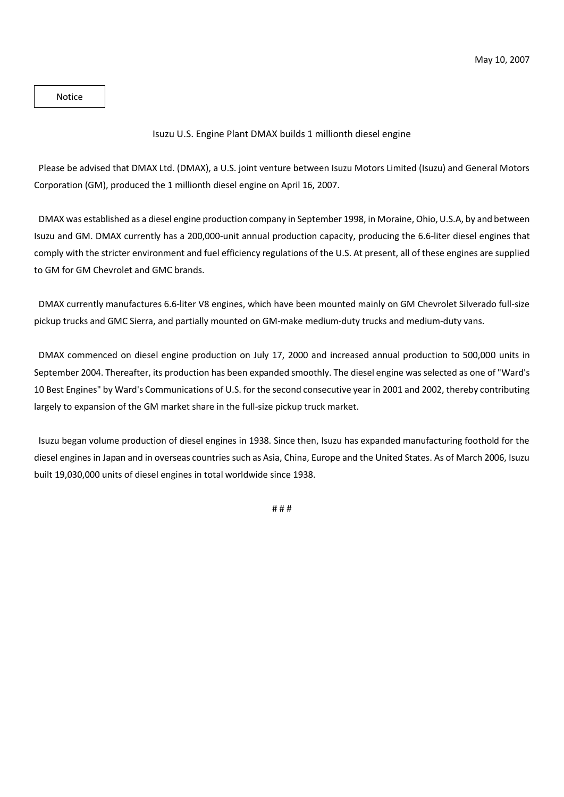Notice

## Isuzu U.S. Engine Plant DMAX builds 1 millionth diesel engine

Please be advised that DMAX Ltd. (DMAX), a U.S. joint venture between Isuzu Motors Limited (Isuzu) and General Motors Corporation (GM), produced the 1 millionth diesel engine on April 16, 2007.

DMAX was established as a diesel engine production company in September 1998, in Moraine, Ohio, U.S.A, by and between Isuzu and GM. DMAX currently has a 200,000-unit annual production capacity, producing the 6.6-liter diesel engines that comply with the stricter environment and fuel efficiency regulations of the U.S. At present, all of these engines are supplied to GM for GM Chevrolet and GMC brands.

DMAX currently manufactures 6.6-liter V8 engines, which have been mounted mainly on GM Chevrolet Silverado full-size pickup trucks and GMC Sierra, and partially mounted on GM-make medium-duty trucks and medium-duty vans.

DMAX commenced on diesel engine production on July 17, 2000 and increased annual production to 500,000 units in September 2004. Thereafter, its production has been expanded smoothly. The diesel engine was selected as one of "Ward's 10 Best Engines" by Ward's Communications of U.S. for the second consecutive year in 2001 and 2002, thereby contributing largely to expansion of the GM market share in the full-size pickup truck market.

Isuzu began volume production of diesel engines in 1938. Since then, Isuzu has expanded manufacturing foothold for the diesel engines in Japan and in overseas countries such as Asia, China, Europe and the United States. As of March 2006, Isuzu built 19,030,000 units of diesel engines in total worldwide since 1938.

# # #